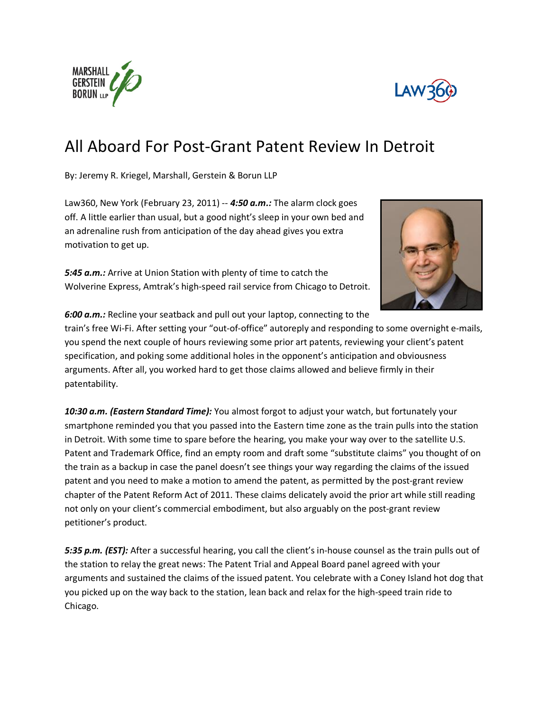



## All Aboard For Post-Grant Patent Review In Detroit

By: Jeremy R. Kriegel, Marshall, Gerstein & Borun LLP

Law360, New York (February 23, 2011) -- *4:50 a.m.:* The alarm clock goes off. A little earlier than usual, but a good night's sleep in your own bed and an adrenaline rush from anticipation of the day ahead gives you extra motivation to get up.

*5:45 a.m.:* Arrive at Union Station with plenty of time to catch the Wolverine Express, Amtrak's high-speed rail service from Chicago to Detroit.



*6:00 a.m.:* Recline your seatback and pull out your laptop, connecting to the

train's free Wi-Fi. After setting your "out-of-office" autoreply and responding to some overnight e-mails, you spend the next couple of hours reviewing some prior art patents, reviewing your client's patent specification, and poking some additional holes in the opponent's anticipation and obviousness arguments. After all, you worked hard to get those claims allowed and believe firmly in their patentability.

*10:30 a.m. (Eastern Standard Time):* You almost forgot to adjust your watch, but fortunately your smartphone reminded you that you passed into the Eastern time zone as the train pulls into the station in Detroit. With some time to spare before the hearing, you make your way over to the satellite U.S. Patent and Trademark Office, find an empty room and draft some "substitute claims" you thought of on the train as a backup in case the panel doesn't see things your way regarding the claims of the issued patent and you need to make a motion to amend the patent, as permitted by the post-grant review chapter of the Patent Reform Act of 2011. These claims delicately avoid the prior art while still reading not only on your client's commercial embodiment, but also arguably on the post-grant review petitioner's product.

*5:35 p.m. (EST):* After a successful hearing, you call the client's in-house counsel as the train pulls out of the station to relay the great news: The Patent Trial and Appeal Board panel agreed with your arguments and sustained the claims of the issued patent. You celebrate with a Coney Island hot dog that you picked up on the way back to the station, lean back and relax for the high-speed train ride to Chicago.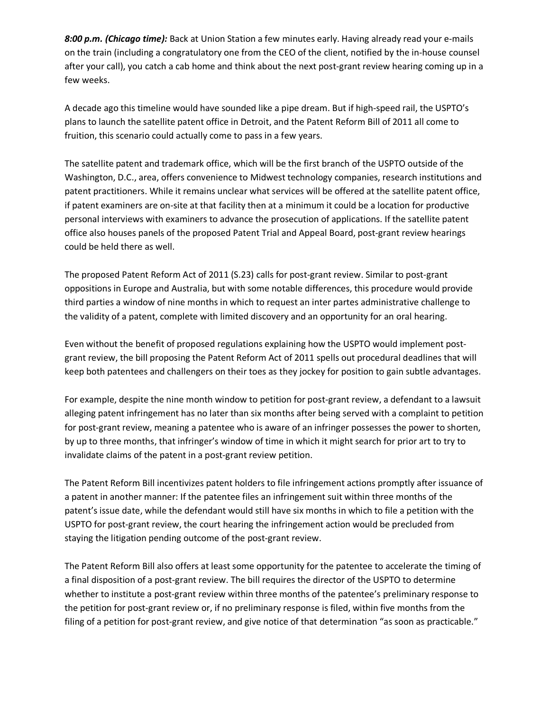*8:00 p.m. (Chicago time):* Back at Union Station a few minutes early. Having already read your e-mails on the train (including a congratulatory one from the CEO of the client, notified by the in-house counsel after your call), you catch a cab home and think about the next post-grant review hearing coming up in a few weeks.

A decade ago this timeline would have sounded like a pipe dream. But if high-speed rail, the USPTO's plans to launch the satellite patent office in Detroit, and the Patent Reform Bill of 2011 all come to fruition, this scenario could actually come to pass in a few years.

The satellite patent and trademark office, which will be the first branch of the USPTO outside of the Washington, D.C., area, offers convenience to Midwest technology companies, research institutions and patent practitioners. While it remains unclear what services will be offered at the satellite patent office, if patent examiners are on-site at that facility then at a minimum it could be a location for productive personal interviews with examiners to advance the prosecution of applications. If the satellite patent office also houses panels of the proposed Patent Trial and Appeal Board, post-grant review hearings could be held there as well.

The proposed Patent Reform Act of 2011 (S.23) calls for post-grant review. Similar to post-grant oppositions in Europe and Australia, but with some notable differences, this procedure would provide third parties a window of nine months in which to request an inter partes administrative challenge to the validity of a patent, complete with limited discovery and an opportunity for an oral hearing.

Even without the benefit of proposed regulations explaining how the USPTO would implement postgrant review, the bill proposing the Patent Reform Act of 2011 spells out procedural deadlines that will keep both patentees and challengers on their toes as they jockey for position to gain subtle advantages.

For example, despite the nine month window to petition for post-grant review, a defendant to a lawsuit alleging patent infringement has no later than six months after being served with a complaint to petition for post-grant review, meaning a patentee who is aware of an infringer possesses the power to shorten, by up to three months, that infringer's window of time in which it might search for prior art to try to invalidate claims of the patent in a post-grant review petition.

The Patent Reform Bill incentivizes patent holders to file infringement actions promptly after issuance of a patent in another manner: If the patentee files an infringement suit within three months of the patent's issue date, while the defendant would still have six months in which to file a petition with the USPTO for post-grant review, the court hearing the infringement action would be precluded from staying the litigation pending outcome of the post-grant review.

The Patent Reform Bill also offers at least some opportunity for the patentee to accelerate the timing of a final disposition of a post-grant review. The bill requires the director of the USPTO to determine whether to institute a post-grant review within three months of the patentee's preliminary response to the petition for post-grant review or, if no preliminary response is filed, within five months from the filing of a petition for post-grant review, and give notice of that determination "as soon as practicable."